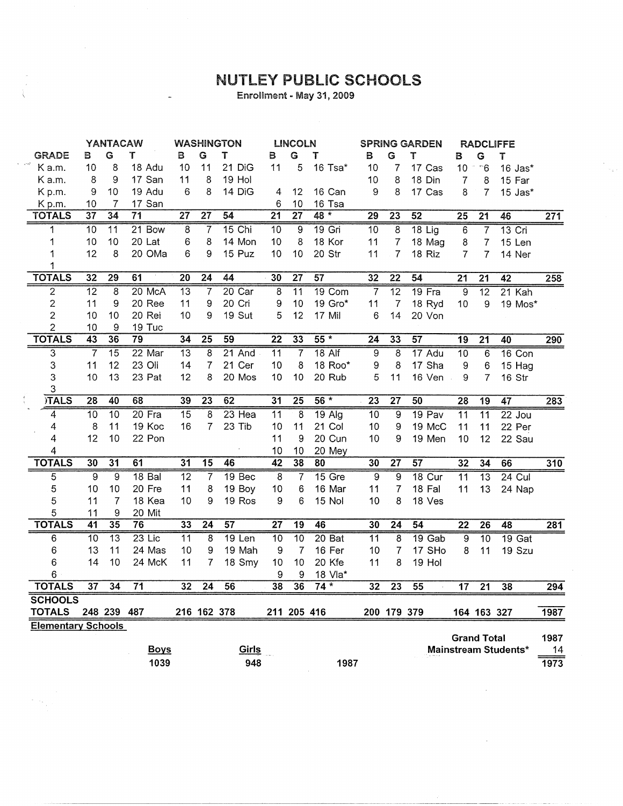## NUTLEY PUBLIC SCHOOLS

Enrollment - May 31, 2009

|                                     | <b>YANTACAW</b> |                 |                   | <b>WASHINGTON</b> |                 |                   | <b>LINCOLN</b>  |                 |                   | <b>SPRING GARDEN</b> |                 | RADCLIFFE       |                 |                    |                      |                  |
|-------------------------------------|-----------------|-----------------|-------------------|-------------------|-----------------|-------------------|-----------------|-----------------|-------------------|----------------------|-----------------|-----------------|-----------------|--------------------|----------------------|------------------|
| <b>GRADE</b>                        | В               | G               | Т                 | в                 | G               | Т                 | в               | G               | T                 | в                    | G               | т               | В               | G                  | Т                    |                  |
| $\omega$ - $\kappa^{\mu}$<br>K a.m. | 10              | 8               | 18 Adu            | 10                | 11              | 21 DiG            | 11              | 5               | 16 Tsa*           | 10                   | 7               | 17 Cas          | 10 <sub>1</sub> | ි6                 | 16 Jas*              |                  |
| K a.m.                              | 8               | 9               | 17 San            | 11                | 8               | 19 Hol            |                 |                 |                   | 10                   | 8               | 18 Din          | 7               | 8                  | 15 Far               |                  |
| Kp.m.                               | 9               | 10              | 19 Adu            | 6                 | 8               | 14 DiG            | 4               | 12              | 16 Can            | 9                    | 8               | 17 Cas          | 8               | $\overline{7}$     | $15$ Jas $*$         |                  |
| Kp.m.                               | 10              | 7               | 17 San            |                   |                 |                   | 6               | 10              | 16 Tsa            |                      |                 |                 |                 |                    |                      |                  |
| <b>TOTALS</b>                       | $\overline{37}$ | 34              | 71                | $\overline{27}$   | $\overline{27}$ | $\overline{54}$   | $\overline{21}$ | $\overline{27}$ | 48 *              | 29                   | 23              | 52              | $\overline{25}$ | $\overline{21}$    | 46                   | 271              |
| 1                                   | $\overline{10}$ | $\overline{11}$ | $21$ Bow          | 8                 | 7               | 15 Chi            | $\overline{10}$ | $\overline{9}$  | 19 Gri            | 10                   | 8               | $18$ Lig        | 6               | $\overline{7}$     | $13$ Cri             |                  |
| 1                                   | 10              | 10              | 20 Lat            | 6                 | 8               | 14 Mon            | 10              | 8               | 18 Kor            | 11                   | 7               | 18 Mag          | 8               | $\overline{7}$     | 15 Len               |                  |
| 1                                   | 12              | 8               | 20 OMa            | 6                 | 9               | 15 Puz            | 10              | 10              | 20 Str            | 11                   | 7               | 18 Riz          | $\overline{7}$  | 7                  | 14 Ner               |                  |
| 1                                   |                 |                 |                   |                   |                 |                   |                 |                 |                   |                      |                 |                 |                 |                    |                      |                  |
| <b>TOTALS</b>                       | 32              | $\overline{29}$ | 61                | $\overline{20}$   | 24              | 44                | 30              | $\overline{27}$ | 57                | 32                   | 22              | 54              | $\overline{21}$ | $\overline{21}$    | 42                   | 258              |
| $\overline{2}$                      | $\overline{12}$ | 8               | 20 McA            | $\overline{13}$   | $\overline{7}$  | 20 Car            | 8               | $\overline{11}$ | 19 Com            | $\overline{7}$       | $\overline{12}$ | 19 Fra          | $\overline{9}$  | $\overline{12}$    | 21 Kah               |                  |
| $\overline{2}$                      | 11              | 9               | 20 Ree            | 11                | 9               | 20 Cri            | 9               | 10              | 19 Gro*           | 11                   | $\overline{7}$  | 18 Ryd          | 10              | 9                  | 19 Mos*              |                  |
| $\overline{\mathbf{c}}$             | 10              | 10              | 20 Rei            | 10                | 9               | 19 Sut            | 5               | 12              | 17 Mil            | 6                    | 14              | 20 Von          |                 |                    |                      |                  |
| $\overline{2}$                      | 10              | 9               | 19 Tuc            |                   |                 |                   |                 |                 |                   |                      |                 |                 |                 |                    |                      |                  |
| <b>TOTALS</b>                       | 43              | 36              | 79                | 34                | $\overline{25}$ | 59                | $\overline{22}$ | 33              | $55*$             | 24                   | $\overline{33}$ | $\overline{57}$ | 19              | $\overline{21}$    | 40                   | 290              |
| $\overline{\mathbf{3}}$             | $\overline{7}$  | $\overline{15}$ | 22 Mar            | $\overline{13}$   | $\overline{8}$  | $21$ And          | $\overline{11}$ | 7               | $18$ Alf          | $\overline{9}$       | $\overline{8}$  | $17$ Adu        | $\overline{10}$ | $\overline{6}$     | 16 Con               |                  |
| 3                                   | 11              | 12              | 23 Oli            | 14                | 7               | 21 Cer            | 10              | 8               | 18 Roo*           | 9                    | 8               | 17 Sha          | 9               | 6                  | 15 Hag               |                  |
| 3                                   | 10              | 13              | 23 Pat            | 12                | 8               | 20 Mos            | 10              | 10              | 20 Rub            | 5                    | 11              | 16 Ven          | 9               | $\overline{7}$     | 16 Str               |                  |
| 3                                   |                 |                 |                   |                   |                 |                   |                 |                 |                   |                      |                 |                 |                 |                    |                      |                  |
| <b>TALS</b>                         | $\overline{28}$ | 40              | 68                | 39                | 23              | 62                | 31              | $\overline{25}$ | $56*$             | $\overline{23}$      | $\overline{27}$ | 50              | 28              | 19                 | 47                   | 283              |
| $\overline{4}$                      | 10              | $\overline{10}$ | 20 Fra            | $\overline{15}$   | 8               | $23$ Hea          | $\overline{11}$ | 8               | $19$ Alg          | $\overline{10}$      | 9               | 19 Pav          | $\overline{11}$ | $\overline{11}$    | $22$ Jou             |                  |
| 4                                   | 8               | 11              | 19 Koc            | 16                | $\overline{7}$  | 23 Tib            | 10              | 11              | 21 Col            | 10                   | 9               | 19 McC          | 11              | 11                 | 22 Per               |                  |
| 4                                   | 12              | 10              | 22 Pon            |                   |                 |                   | 11              | 9               | 20 Cun            | 10                   | 9               | 19 Men          | 10              | 12                 | 22 Sau               |                  |
| 4                                   |                 |                 |                   |                   |                 |                   | 10              | 10              | 20 Mey            |                      |                 |                 |                 |                    |                      |                  |
| <b>TOTALS</b>                       | $\overline{30}$ | 31              | 61                | 31                | 15              | 46                | $\overline{42}$ | 38              | 80                | 30                   | 27              | 57              | $\overline{32}$ | 34                 | 66                   | 310              |
| 5                                   | 9               | 9               | 18 <sub>Bal</sub> | $\overline{12}$   | $\overline{7}$  | 19 <sub>Bec</sub> | $\overline{8}$  | $\overline{7}$  | 15 Gre            | 9                    | $\overline{9}$  | $18$ Cur        | 11              | $\overline{13}$    | $24$ Cul             |                  |
| 5                                   | 10              | 10              | 20 Fre            | 11                | 8               | 19 Boy            | 10              | 6               | 16 Mar            | 11                   | $\overline{7}$  | 18 Fal          | 11              | 13                 | 24 Nap               |                  |
| 5                                   | 11              | 7               | 18 Kea            | 10                | 9               | 19 Ros            | 9               | 6               | 15 Nol            | 10                   | 8               | 18 Ves          |                 |                    |                      |                  |
| 5                                   | 11              | 9               | 20 Mit            |                   |                 |                   |                 |                 |                   |                      |                 |                 |                 |                    |                      |                  |
| <b>TOTALS</b>                       | 41              | $\overline{35}$ | 76                | $\overline{33}$   | $\overline{24}$ | 57                | 27              | $\overline{19}$ | 46                | 30                   | $\overline{24}$ | 54              | $\overline{22}$ | $\overline{26}$    | 48                   | 281              |
| 6                                   | $\overline{10}$ | $\overline{13}$ | $23$ Lic          | $\overline{11}$   | $\overline{8}$  | $19$ Len          | $\overline{10}$ | $\overline{10}$ | 20 <sub>Bat</sub> | $\overline{11}$      | $\overline{8}$  | $19$ Gab        | $\overline{9}$  | $\overline{10}$    | $19$ Gat             |                  |
| 6                                   | 13              | 11              | 24 Mas            | 10                | 9               | 19 Mah            | 9               | $\overline{7}$  | 16 Fer            | 10                   | $\overline{7}$  | 17 SHo          | 8               | 11                 | 19 Szu               |                  |
| 6                                   | 14              | 10              | 24 McK            | 11                | 7               | 18 Smy            | 10              | 10              | 20 Kfe            | 11                   | 8               | 19 Hol          |                 |                    |                      |                  |
| 6                                   |                 |                 |                   |                   |                 |                   | 9               | 9               | 18 Vla*           |                      |                 |                 |                 |                    |                      |                  |
| <b>TOTALS</b>                       | $\overline{37}$ | 34              | $\overline{71}$   | $\overline{32}$   | $\overline{24}$ | 56                | 38              | $\overline{36}$ | $74*$             | $\overline{32}$      | $\overline{23}$ | 55              | $\overline{17}$ | $\overline{21}$    | $\overline{38}$      | $\overline{294}$ |
| <b>SCHOOLS</b>                      |                 |                 |                   |                   |                 |                   |                 |                 |                   |                      |                 |                 |                 |                    |                      |                  |
| <b>TOTALS</b>                       |                 | 248 239         | 487               |                   | 216 162 378     |                   |                 | 211 205 416     |                   |                      | 200 179 379     |                 |                 | 164 163 327        |                      | 1987             |
| <b>Elementary Schools</b>           |                 |                 |                   |                   |                 |                   |                 |                 |                   |                      |                 |                 |                 |                    |                      |                  |
|                                     |                 |                 |                   |                   |                 |                   |                 |                 |                   |                      |                 |                 |                 | <b>Grand Total</b> |                      | 1987             |
|                                     |                 |                 | <b>Boys</b>       |                   |                 | Girls             |                 |                 |                   |                      |                 |                 |                 |                    | Mainstream Students* | 14               |
|                                     |                 |                 | 1039              |                   |                 | 948               |                 |                 | 1987              |                      |                 |                 |                 |                    |                      | 1973             |

 $\mathcal{C}=\mathcal{C}_{\infty}$